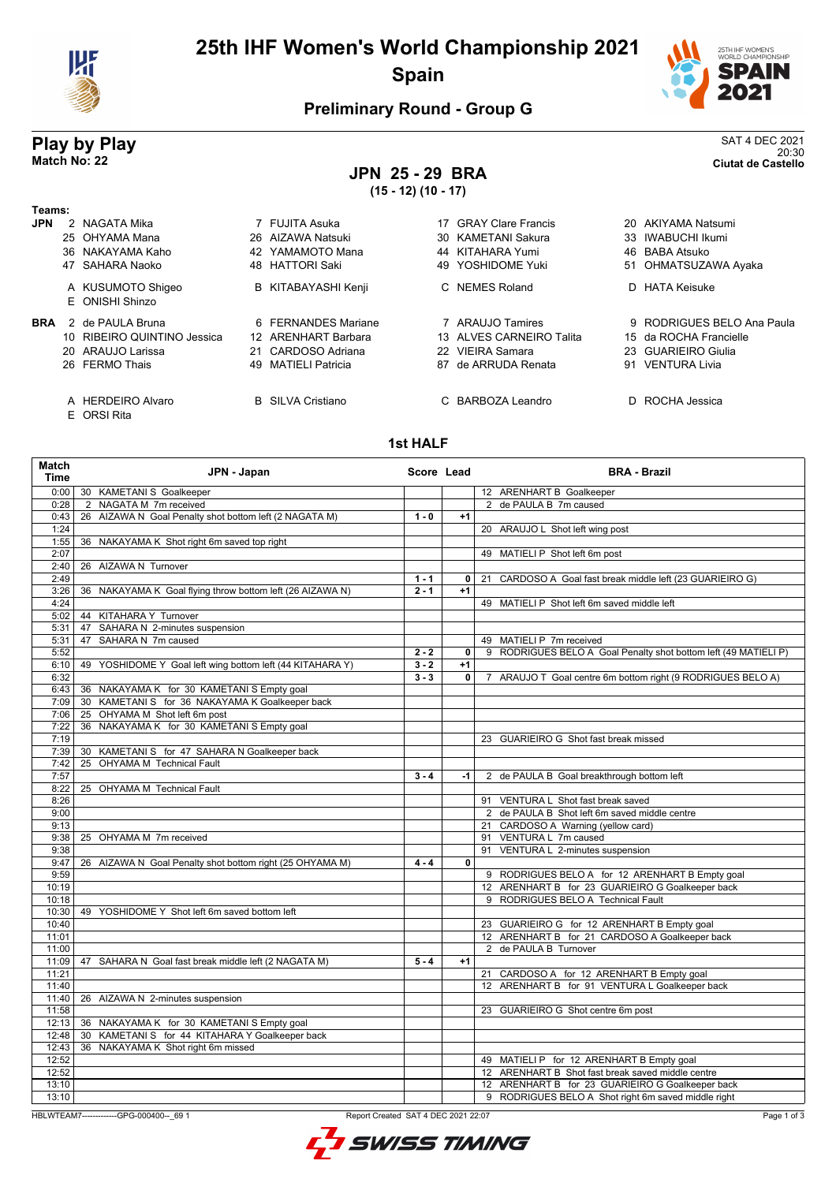

## **25th IHF Women's World Championship 2021 Spain**



### **Preliminary Round - Group G**

#### **Play by Play** SAT 4 DEC 2021 20:30 **Match No: 22 Ciutat de Castello**

# **JPN 25 - 29 BRA**

**(15 - 12) (10 - 17)**

| Геаms:     |                                  |                            |    |                           |    |                            |
|------------|----------------------------------|----------------------------|----|---------------------------|----|----------------------------|
| JPN.       | 2 NAGATA Mika                    | 7 FUJITA Asuka             | 17 | <b>GRAY Clare Francis</b> |    | 20 AKIYAMA Natsumi         |
|            | 25 OHYAMA Mana                   | 26 AIZAWA Natsuki          |    | 30 KAMETANI Sakura        |    | 33 IWABUCHI Ikumi          |
|            | 36 NAKAYAMA Kaho                 | 42 YAMAMOTO Mana           |    | 44 KITAHARA Yumi          |    | 46 BABA Atsuko             |
|            | 47 SAHARA Naoko                  | 48 HATTORI Saki            |    | 49 YOSHIDOME Yuki         |    | 51 OHMATSUZAWA Ayaka       |
|            | A KUSUMOTO Shigeo                | <b>B</b> KITABAYASHI Kenji |    | C NEMES Roland            |    | D HATA Keisuke             |
|            | E ONISHI Shinzo                  |                            |    |                           |    |                            |
| <b>BRA</b> | 2 de PAULA Bruna                 | 6 FERNANDES Mariane        |    | 7 ARAUJO Tamires          |    | 9 RODRIGUES BELO Ana Paula |
|            | 10 RIBEIRO QUINTINO Jessica      | 12 ARENHART Barbara        |    | 13 ALVES CARNEIRO Talita  |    | 15 da ROCHA Francielle     |
|            | 20 ARAUJO Larissa                | 21 CARDOSO Adriana         |    | 22 VIEIRA Samara          |    | 23 GUARIEIRO Giulia        |
|            | 26 FERMO Thais                   | 49 MATIELI Patricia        | 87 | de ARRUDA Renata          |    | 91 VENTURA Livia           |
|            | A HERDEIRO Alvaro<br>E ORSI Rita | <b>B</b> SILVA Cristiano   |    | C BARBOZA Leandro         | D. | ROCHA Jessica              |
|            |                                  |                            |    |                           |    |                            |

#### **1st HALF**

| Match<br><b>Time</b> | JPN - Japan                                               | Score Lead |      | <b>BRA - Brazil</b>                                             |
|----------------------|-----------------------------------------------------------|------------|------|-----------------------------------------------------------------|
| 0:001                | 30 KAMETANI S Goalkeeper                                  |            |      | 12 ARENHART B Goalkeeper                                        |
| 0:28                 | 2 NAGATA M 7m received                                    |            |      | 2 de PAULA B 7m caused                                          |
| 0:43                 | 26 AIZAWA N Goal Penalty shot bottom left (2 NAGATA M)    | $1 - 0$    | $+1$ |                                                                 |
| 1:24                 |                                                           |            |      | 20 ARAUJO L Shot left wing post                                 |
| 1:55                 | 36 NAKAYAMA K Shot right 6m saved top right               |            |      |                                                                 |
| 2:07                 |                                                           |            |      | 49 MATIELI P Shot left 6m post                                  |
| 2:40                 | 26 AIZAWA N Turnover                                      |            |      |                                                                 |
| 2:49                 |                                                           | $1 - 1$    | 0    | CARDOSO A Goal fast break middle left (23 GUARIEIRO G)<br>21    |
| 3:26                 | 36 NAKAYAMA K Goal flying throw bottom left (26 AIZAWA N) | $2 - 1$    | $+1$ |                                                                 |
| 4:24                 |                                                           |            |      | 49 MATIELI P Shot left 6m saved middle left                     |
| 5:02                 | 44 KITAHARA Y Turnover                                    |            |      |                                                                 |
| 5:31                 | SAHARA N 2-minutes suspension<br>47                       |            |      |                                                                 |
| 5:31                 | 47 SAHARA N 7m caused                                     |            |      | 49 MATIELI P 7m received                                        |
| 5:52                 |                                                           | $2 - 2$    | 0    | 9 RODRIGUES BELO A Goal Penalty shot bottom left (49 MATIELI P) |
| 6:10                 | 49 YOSHIDOME Y Goal left wing bottom left (44 KITAHARA Y) | $3 - 2$    | $+1$ |                                                                 |
| 6:32                 |                                                           | $3 - 3$    | 0    | 7 ARAUJO T Goal centre 6m bottom right (9 RODRIGUES BELO A)     |
| 6:43                 | 36 NAKAYAMA K for 30 KAMETANI S Empty goal                |            |      |                                                                 |
| 7:09                 | 30 KAMETANI S for 36 NAKAYAMA K Goalkeeper back           |            |      |                                                                 |
| 7:06                 | 25 OHYAMA M Shot left 6m post                             |            |      |                                                                 |
| 7:22                 | 36 NAKAYAMA K for 30 KAMETANI S Empty goal                |            |      |                                                                 |
| 7:19                 |                                                           |            |      | 23 GUARIEIRO G Shot fast break missed                           |
| 7:39                 | 30 KAMETANI S for 47 SAHARA N Goalkeeper back             |            |      |                                                                 |
| 7:42                 | 25 OHYAMA M Technical Fault                               |            |      |                                                                 |
| 7:57                 |                                                           | $3 - 4$    | $-1$ | 2 de PAULA B Goal breakthrough bottom left                      |
| 8:22                 | 25 OHYAMA M Technical Fault                               |            |      |                                                                 |
| 8:26                 |                                                           |            |      | 91 VENTURA L Shot fast break saved                              |
| 9:00                 |                                                           |            |      | 2 de PAULA B Shot left 6m saved middle centre                   |
| 9:13                 |                                                           |            |      | 21 CARDOSO A Warning (yellow card)                              |
| 9:38                 | 25 OHYAMA M 7m received                                   |            |      | 91 VENTURA L 7m caused                                          |
| 9:38                 |                                                           |            |      | 91 VENTURA L 2-minutes suspension                               |
| 9:47                 | 26 AIZAWA N Goal Penalty shot bottom right (25 OHYAMA M)  | $4 - 4$    | 0    |                                                                 |
| 9:59                 |                                                           |            |      | 9 RODRIGUES BELO A for 12 ARENHART B Empty goal                 |
| 10:19                |                                                           |            |      | 12 ARENHART B for 23 GUARIEIRO G Goalkeeper back                |
| 10:18                |                                                           |            |      | 9 RODRIGUES BELO A Technical Fault                              |
| 10:30                | 49 YOSHIDOME Y Shot left 6m saved bottom left             |            |      |                                                                 |
| 10:40                |                                                           |            |      | 23 GUARIEIRO G for 12 ARENHART B Empty goal                     |
| 11:01                |                                                           |            |      | 12 ARENHART B for 21 CARDOSO A Goalkeeper back                  |
| 11:00                |                                                           |            |      | 2 de PAULA B Turnover                                           |
| 11:09                | 47 SAHARA N Goal fast break middle left (2 NAGATA M)      | $5 - 4$    | $+1$ |                                                                 |
| 11:21                |                                                           |            |      | 21 CARDOSO A for 12 ARENHART B Empty goal                       |
| 11:40                |                                                           |            |      | 12 ARENHART B for 91 VENTURA L Goalkeeper back                  |
| 11:40                | 26 AIZAWA N 2-minutes suspension                          |            |      |                                                                 |
| 11:58                |                                                           |            |      | 23 GUARIEIRO G Shot centre 6m post                              |
| 12:13                | 36 NAKAYAMA K for 30 KAMETANI S Empty goal                |            |      |                                                                 |
| 12:48                | 30 KAMETANI S for 44 KITAHARA Y Goalkeeper back           |            |      |                                                                 |
| 12:43                | 36 NAKAYAMA K Shot right 6m missed                        |            |      |                                                                 |
| 12:52                |                                                           |            |      | 49 MATIELI P for 12 ARENHART B Empty goal                       |
| 12:52                |                                                           |            |      | 12 ARENHART B Shot fast break saved middle centre               |
| 13:10                |                                                           |            |      | 12 ARENHART B for 23 GUARIEIRO G Goalkeeper back                |
| 13:10                |                                                           |            |      | 9 RODRIGUES BELO A Shot right 6m saved middle right             |

HBLWTEAM7-------------GPG-000400--\_69 1 Report Created SAT 4 DEC 2021 22:07

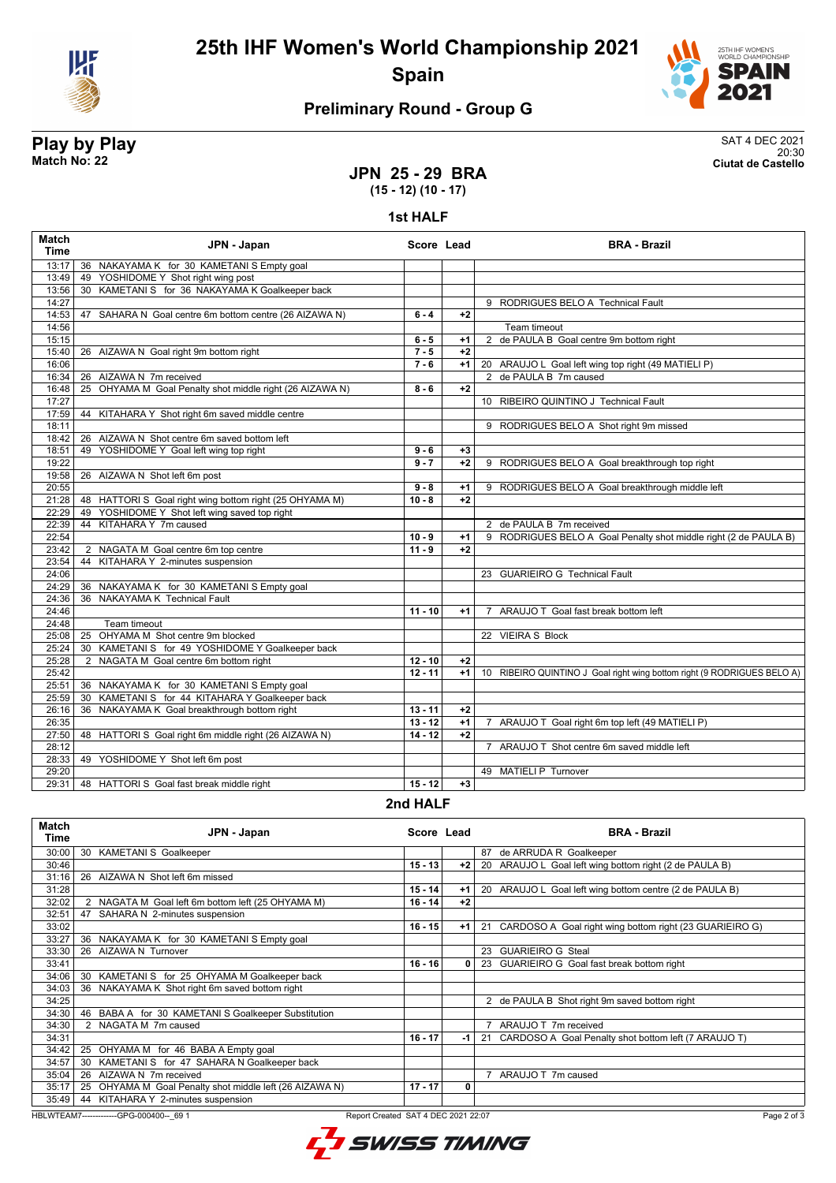



## **Preliminary Round - Group G**

#### **Play by Play** SAT 4 DEC 2021 20:30 **Match No: 22 Ciutat de Castello**

#### **JPN 25 - 29 BRA (15 - 12) (10 - 17)**

**1st HALF**

| <b>Match</b><br><b>Time</b> | JPN - Japan                                              | Score Lead |      | <b>BRA - Brazil</b>                                                     |
|-----------------------------|----------------------------------------------------------|------------|------|-------------------------------------------------------------------------|
| 13:17                       | 36 NAKAYAMA K for 30 KAMETANI S Empty goal               |            |      |                                                                         |
| 13:49                       | 49 YOSHIDOME Y Shot right wing post                      |            |      |                                                                         |
| 13:56                       | 30 KAMETANI S for 36 NAKAYAMA K Goalkeeper back          |            |      |                                                                         |
| 14:27                       |                                                          |            |      | 9 RODRIGUES BELO A Technical Fault                                      |
| 14:53                       | 47 SAHARA N Goal centre 6m bottom centre (26 AIZAWA N)   | $6 - 4$    | $+2$ |                                                                         |
| 14:56                       |                                                          |            |      | Team timeout                                                            |
| 15:15                       |                                                          | $6 - 5$    | $+1$ | 2 de PAULA B Goal centre 9m bottom right                                |
| 15:40                       | 26 AIZAWA N Goal right 9m bottom right                   | $7 - 5$    | $+2$ |                                                                         |
| 16:06                       |                                                          | $7 - 6$    | $+1$ | 20 ARAUJO L Goal left wing top right (49 MATIELI P)                     |
| 16:34                       | 26 AIZAWA N 7m received                                  |            |      | 2 de PAULA B 7m caused                                                  |
| 16:48                       | 25 OHYAMA M Goal Penalty shot middle right (26 AIZAWA N) | $8 - 6$    | $+2$ |                                                                         |
| 17:27                       |                                                          |            |      | 10 RIBEIRO QUINTINO J Technical Fault                                   |
| 17:59                       | 44 KITAHARA Y Shot right 6m saved middle centre          |            |      |                                                                         |
| 18:11                       |                                                          |            |      | 9 RODRIGUES BELO A Shot right 9m missed                                 |
| 18:42                       | 26 AIZAWA N Shot centre 6m saved bottom left             |            |      |                                                                         |
| 18:51                       | 49 YOSHIDOME Y Goal left wing top right                  | $9 - 6$    | $+3$ |                                                                         |
| 19:22                       |                                                          | $9 - 7$    | $+2$ | 9 RODRIGUES BELO A Goal breakthrough top right                          |
| 19:58                       | 26 AIZAWA N Shot left 6m post                            |            |      |                                                                         |
| 20:55                       |                                                          | $9 - 8$    | $+1$ | 9 RODRIGUES BELO A Goal breakthrough middle left                        |
| 21:28                       | 48 HATTORI S Goal right wing bottom right (25 OHYAMA M)  | $10 - 8$   | $+2$ |                                                                         |
| 22:29                       | YOSHIDOME Y Shot left wing saved top right<br>49         |            |      |                                                                         |
| 22:39                       | KITAHARA Y 7m caused<br>44                               |            |      | 2 de PAULA B 7m received                                                |
| 22:54                       |                                                          | $10 - 9$   | $+1$ | 9 RODRIGUES BELO A Goal Penalty shot middle right (2 de PAULA B)        |
| 23:42                       | 2 NAGATA M Goal centre 6m top centre                     | $11 - 9$   | $+2$ |                                                                         |
| 23:54                       | 44 KITAHARA Y 2-minutes suspension                       |            |      |                                                                         |
| 24:06                       |                                                          |            |      | 23 GUARIEIRO G Technical Fault                                          |
| 24:29                       | 36 NAKAYAMA K for 30 KAMETANI S Empty goal               |            |      |                                                                         |
| 24:36                       | 36 NAKAYAMA K Technical Fault                            |            |      |                                                                         |
| 24:46                       |                                                          | $11 - 10$  | $+1$ | ARAUJO T Goal fast break bottom left<br>$\overline{7}$                  |
| 24:48                       | Team timeout                                             |            |      |                                                                         |
| 25:08                       | OHYAMA M Shot centre 9m blocked<br>25                    |            |      | 22 VIEIRA S Block                                                       |
| 25:24                       | KAMETANI S for 49 YOSHIDOME Y Goalkeeper back<br>30      |            |      |                                                                         |
| 25:28                       | 2 NAGATA M Goal centre 6m bottom right                   | $12 - 10$  | $+2$ |                                                                         |
| 25:42                       |                                                          | $12 - 11$  | $+1$ | 10 RIBEIRO QUINTINO J Goal right wing bottom right (9 RODRIGUES BELO A) |
| 25:51                       | 36 NAKAYAMA K for 30 KAMETANI S Empty goal               |            |      |                                                                         |
| 25:59                       | 30 KAMETANI S for 44 KITAHARA Y Goalkeeper back          |            |      |                                                                         |
| 26:16                       | 36 NAKAYAMA K Goal breakthrough bottom right             | $13 - 11$  | $+2$ |                                                                         |
| 26:35                       |                                                          | $13 - 12$  | $+1$ | 7 ARAUJO T Goal right 6m top left (49 MATIELI P)                        |
| 27:50                       | 48 HATTORI S Goal right 6m middle right (26 AIZAWA N)    | $14 - 12$  | $+2$ |                                                                         |
| 28:12                       |                                                          |            |      | 7 ARAUJO T Shot centre 6m saved middle left                             |
| 28:33                       | 49 YOSHIDOME Y Shot left 6m post                         |            |      |                                                                         |
| 29:20                       |                                                          |            |      | 49 MATIELI P Turnover                                                   |
| 29:31                       | 48 HATTORI S Goal fast break middle right                | $15 - 12$  | $+3$ |                                                                         |
|                             |                                                          |            |      |                                                                         |

#### **2nd HALF**

| <b>Match</b><br>Time | JPN - Japan                                                | Score Lead                          |      | <b>BRA - Brazil</b>                                        |
|----------------------|------------------------------------------------------------|-------------------------------------|------|------------------------------------------------------------|
| 30:00                | <b>KAMETANI S Goalkeeper</b><br>30                         |                                     |      | de ARRUDA R Goalkeeper<br>87                               |
| 30:46                |                                                            | $15 - 13$                           | $+2$ | 20 ARAUJO L Goal left wing bottom right (2 de PAULA B)     |
| 31:16                | AIZAWA N Shot left 6m missed<br>26                         |                                     |      |                                                            |
| 31:28                |                                                            | $15 - 14$                           | $+1$ | 20 ARAUJO L Goal left wing bottom centre (2 de PAULA B)    |
| 32:02                | 2 NAGATA M Goal left 6m bottom left (25 OHYAMA M)          | $16 - 14$                           | $+2$ |                                                            |
| 32:51                | SAHARA N 2-minutes suspension<br>47                        |                                     |      |                                                            |
| 33:02                |                                                            | $16 - 15$                           | $+1$ | 21 CARDOSO A Goal right wing bottom right (23 GUARIEIRO G) |
| 33:27                | NAKAYAMA K for 30 KAMETANI S Empty goal<br>36              |                                     |      |                                                            |
| 33:30                | AIZAWA N Turnover<br>26                                    |                                     |      | <b>GUARIEIRO G Steal</b><br>23                             |
| 33:41                |                                                            | $16 - 16$                           | 0    | 23 GUARIEIRO G Goal fast break bottom right                |
| 34:06                | KAMETANI S for 25 OHYAMA M Goalkeeper back<br>30           |                                     |      |                                                            |
| 34:03                | NAKAYAMA K Shot right 6m saved bottom right<br>36          |                                     |      |                                                            |
| 34:25                |                                                            |                                     |      | 2 de PAULA B Shot right 9m saved bottom right              |
| 34:30                | 46 BABA A for 30 KAMETANI S Goalkeeper Substitution        |                                     |      |                                                            |
| 34:30                | 2 NAGATA M 7m caused                                       |                                     |      | ARAUJO T 7m received                                       |
| 34:31                |                                                            | $16 - 17$                           | $-1$ | 21 CARDOSO A Goal Penalty shot bottom left (7 ARAUJO T)    |
| 34:42                | OHYAMA M for 46 BABA A Empty goal<br>25                    |                                     |      |                                                            |
| 34:57                | KAMETANI S for 47 SAHARA N Goalkeeper back<br>30           |                                     |      |                                                            |
| 35:04                | AIZAWA N 7m received<br>26                                 |                                     |      | ARAUJO T 7m caused                                         |
| 35:17                | OHYAMA M Goal Penalty shot middle left (26 AIZAWA N)<br>25 | $17 - 17$                           | 0    |                                                            |
| 35:49                | KITAHARA Y 2-minutes suspension<br>44                      |                                     |      |                                                            |
|                      | HBLWTEAM7-------------GPG-000400-- 69 1                    | Report Created SAT 4 DEC 2021 22:07 |      | Page 2 of 3                                                |